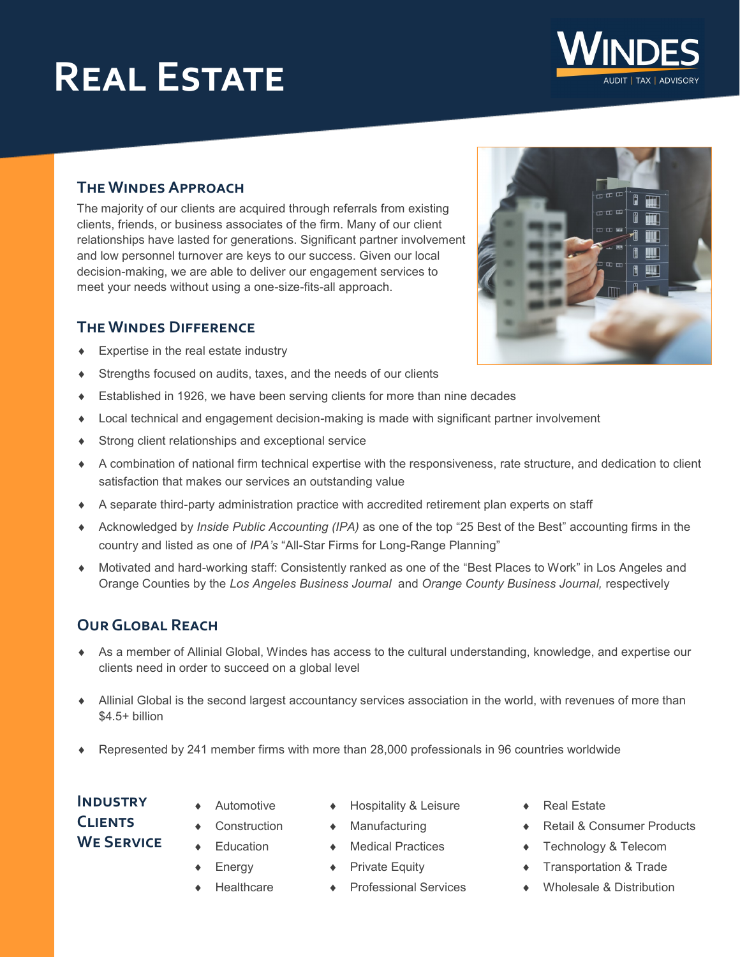# **Real Estate**

#### **The Windes Approach**

The majority of our clients are acquired through referrals from existing clients, friends, or business associates of the firm. Many of our client relationships have lasted for generations. Significant partner involvement and low personnel turnover are keys to our success. Given our local decision-making, we are able to deliver our engagement services to meet your needs without using a one-size-fits-all approach.

#### **The Windes Difference**

- Expertise in the real estate industry
- Strengths focused on audits, taxes, and the needs of our clients
- Established in 1926, we have been serving clients for more than nine decades
- Local technical and engagement decision-making is made with significant partner involvement
- Strong client relationships and exceptional service
- A combination of national firm technical expertise with the responsiveness, rate structure, and dedication to client satisfaction that makes our services an outstanding value
- A separate third-party administration practice with accredited retirement plan experts on staff
- Acknowledged by *Inside Public Accounting (IPA)* as one of the top "25 Best of the Best" accounting firms in the country and listed as one of *IPA's* "All-Star Firms for Long-Range Planning"
- Motivated and hard-working staff: Consistently ranked as one of the "Best Places to Work" in Los Angeles and Orange Counties by the *Los Angeles Business Journal* and *Orange County Business Journal,* respectively

#### **Our Global Reach**

- As a member of Allinial Global, Windes has access to the cultural understanding, knowledge, and expertise our clients need in order to succeed on a global level
- Allinial Global is the second largest accountancy services association in the world, with revenues of more than \$4.5+ billion
- Represented by 241 member firms with more than 28,000 professionals in 96 countries worldwide

### **Industry Clients We Service**

- Energy
	-

Automotive

**Education** 

- **Healthcare**
- Hospitality & Leisure
- Manufacturing
- ◆ Medical Practices
- ◆ Private Equity
- ◆ Professional Services
- ◆ Real Estate
- Retail & Consumer Products
- ◆ Technology & Telecom
- ◆ Transportation & Trade
- Wholesale & Distribution





**Construction**